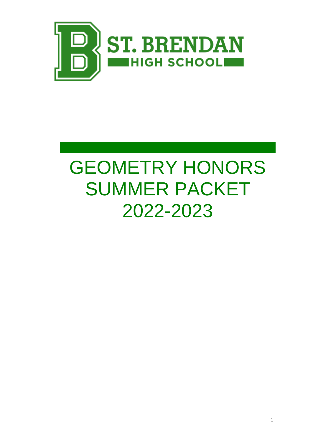

# **GEOMETRY HONORS** SUMMER PACKET 2022-2023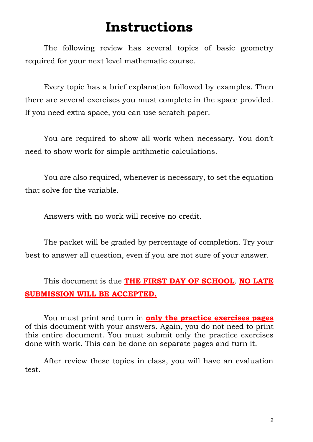## **Instructions**

The following review has several topics of basic geometry required for your next level mathematic course.

Every topic has a brief explanation followed by examples. Then there are several exercises you must complete in the space provided. If you need extra space, you can use scratch paper.

You are required to show all work when necessary. You don't need to show work for simple arithmetic calculations.

You are also required, whenever is necessary, to set the equation that solve for the variable.

Answers with no work will receive no credit.

The packet will be graded by percentage of completion. Try your best to answer all question, even if you are not sure of your answer.

## This document is due **THE FIRST DAY OF SCHOOL**. **NO LATE SUBMISSION WILL BE ACCEPTED.**

You must print and turn in **only the practice exercises pages** of this document with your answers. Again, you do not need to print this entire document. You must submit only the practice exercises done with work. This can be done on separate pages and turn it.

After review these topics in class, you will have an evaluation test.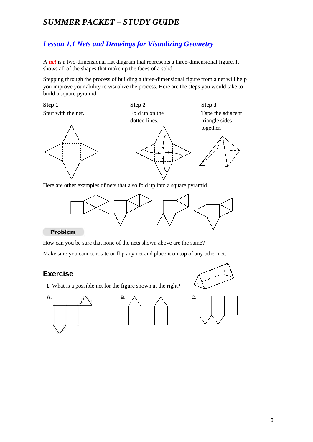## *SUMMER PACKET – STUDY GUIDE*

## *Lesson 1.1 Nets and Drawings for Visualizing Geometry*

A *net* is a two-dimensional flat diagram that represents a three-dimensional figure. It shows all of the shapes that make up the faces of a solid.

Stepping through the process of building a three-dimensional figure from a net will help you improve your ability to visualize the process. Here are the steps you would take to build a square pyramid.



Here are other examples of nets that also fold up into a square pyramid.



#### Problem

How can you be sure that none of the nets shown above are the same?

Make sure you cannot rotate or flip any net and place it on top of any other net.

## **Exercise**

**1.** What is a possible net for the figure shown at the right?







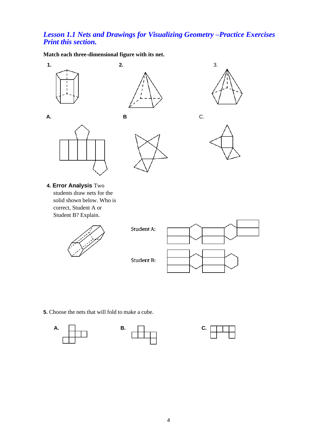## *Lesson 1.1 Nets and Drawings for Visualizing Geometry –Practice Exercises Print this section.*

**Match each three-dimensional figure with its net.**



**5.** Choose the nets that will fold to make a cube.





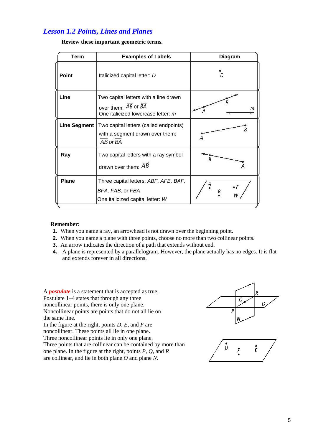## *Lesson 1.2 Points, Lines and Planes*

| Term         | <b>Examples of Labels</b>                                                                                                                | <b>Diagram</b>   |
|--------------|------------------------------------------------------------------------------------------------------------------------------------------|------------------|
| <b>Point</b> | Italicized capital letter: D                                                                                                             |                  |
| Line         | Two capital letters with a line drawn<br>over them: $\overrightarrow{AB}$ or $\overrightarrow{BA}$<br>One italicized lowercase letter: m | m                |
| Line Segment | Two capital letters (called endpoints)<br>with a segment drawn over them:<br>AB or BA                                                    |                  |
| Ray          | Two capital letters with a ray symbol<br>drawn over them: $AB$                                                                           |                  |
| <b>Plane</b> | Three capital letters: ABF, AFB, BAF,<br>BFA, FAB, or FBA<br>One italicized capital letter: W                                            | $\bullet$ F<br>W |

#### **Review these important geometric terms.**

#### **Remember:**

- **1.** When you name a ray, an arrowhead is not drawn over the beginning point.
- **2.** When you name a plane with three points, choose no more than two collinear points.
- **3.** An arrow indicates the direction of a path that extends without end.
- **4.** A plane is represented by a parallelogram. However, the plane actually has no edges. It is flat and extends forever in all directions.

A *postulate* is a statement that is accepted as true. Postulate 1–4 states that through any three noncollinear points, there is only one plane. Noncollinear points are points that do not all lie on the same line.

In the figure at the right, points *D, E,* and *F* are noncollinear. These points all lie in one plane. Three noncollinear points lie in only one plane. Three points that are collinear can be contained by more than one plane. In the figure at the right, points *P, Q,* and *R* are collinear, and lie in both plane *O* and plane *N.*



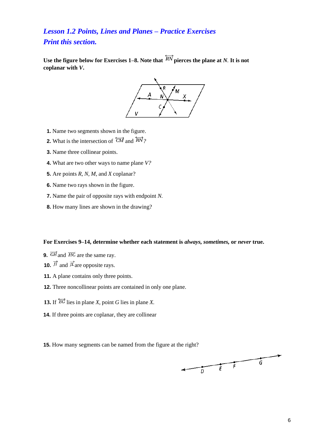## *Lesson 1.2 Points, Lines and Planes – Practice Exercises Print this section.*

Use the figure below for Exercises 1–8. Note that  $\overleftrightarrow{RN}$  pierces the plane at *N*. It is not **coplanar with** *V***.**



- **1.** Name two segments shown in the figure.
- **2.** What is the intersection of  $\overleftrightarrow{CM}$  and  $\overleftrightarrow{RV}$ ?
- **3.** Name three collinear points.
- **4.** What are two other ways to name plane *V?*
- **5.** Are points *R, N, M,* and *X* coplanar?
- **6.** Name two rays shown in the figure.
- **7.** Name the pair of opposite rays with endpoint *N.*
- **8.** How many lines are shown in the drawing?

#### **For Exercises 9–14, determine whether each statement is** *always, sometimes,* **or** *never* **true.**

- **9.**  $\overrightarrow{GH}$  and  $\overrightarrow{HG}$  are the same ray.
- **10.**  $\vec{\mu}$  and  $\vec{\mu}$  are opposite rays.
- **11.** A plane contains only three points.
- **12.** Three noncollinear points are contained in only one plane.
- **13.** If  $\overleftrightarrow{EG}$  lies in plane *X*, point *G* lies in plane *X*.
- **14.** If three points are coplanar, they are collinear

**15.** How many segments can be named from the figure at the right?

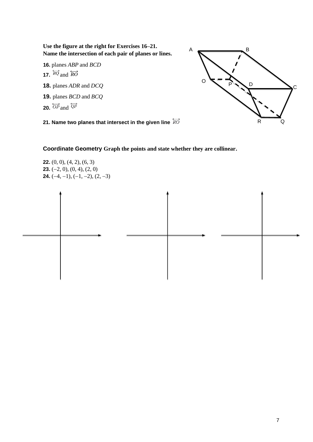**Use the figure at the right for Exercises 16–21. Name the intersection of each pair of planes or lines.**

**16.** planes *ABP* and *BCD* **17.**  $\overleftrightarrow{RQ}$  and  $\overleftrightarrow{RO}$ **18.** planes *ADR* and *DCQ* **19.** planes *BCD* and *BCQ*

**20.**  $\overleftrightarrow{OP}$  and  $\overleftrightarrow{QP}$ 



**21. Name two planes that intersect in the given line**

**Coordinate Geometry Graph the points and state whether they are collinear.**

**22.** (0, 0), (4, 2), (6, 3) **23.** (−2, 0), (0, 4), (2, 0) **24.**  $(-4, -1)$ ,  $(-1, -2)$ ,  $(2, -3)$ 

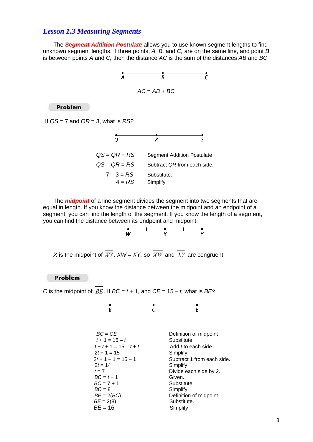#### *Lesson 1.3 Measuring Segments*

The *Segment Addition Postulate* allows you to use known segment lengths to find unknown segment lengths. If three points, *A, B,* and *C,* are on the same line, and point *B*  is between points *A* and *C,* then the distance *AC* is the sum of the distances *AB* and *BC*



Problem

If *QS* = 7 and *QR* = 3, what is *RS?*



The *midpoint* of a line segment divides the segment into two segments that are equal in length. If you know the distance between the midpoint and an endpoint of a segment, you can find the length of the segment. If you know the length of a segment, you can find the distance between its endpoint and midpoint.



*X* is the midpoint of  $WY$ .  $XW = XY$ , so  $XW$  and  $XY$  are congruent.

Problem

*C* is the midpoint of  $BE$ . If  $BC = t + 1$ , and  $CE = 15 - t$ , what is  $BE$ ?

$$
\overset{\bullet}{B} \qquad \qquad \overset{\bullet}{C} \qquad \qquad \overset{\bullet}{E}
$$

| $BC = CE$                | Definition of midpoint     |
|--------------------------|----------------------------|
| $t + 1 = 15 - t$         | Substitute.                |
| $t + t + 1 = 15 - t + t$ | Add <i>t</i> to each side. |
| $2t + 1 = 15$            | Simplify.                  |
| $2t + 1 - 1 = 15 - 1$    | Subtract 1 from each side. |
| $2t = 14$                | Simplify.                  |
| $t=7$                    | Divide each side by 2.     |
| $BC = t + 1$             | Given.                     |
| $BC = 7 + 1$             | Substitute.                |
| $BC = 8$                 | Simplify.                  |
| $BE = 2(BC)$             | Definition of midpoint.    |
| $BE = 2(8)$              | Substitute.                |
| $BE = 16$                | Simplify                   |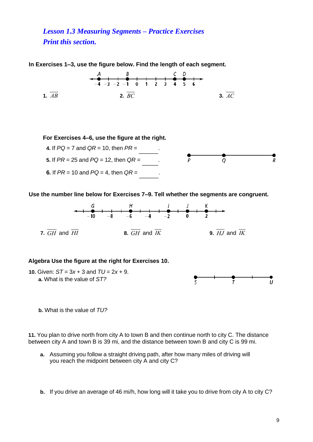*Lesson 1.3 Measuring Segments – Practice Exercises Print this section.*

**In Exercises 1–3, use the figure below. Find the length of each segment.**



**For Exercises 4–6, use the figure at the right.**



**Use the number line below for Exercises 7–9. Tell whether the segments are congruent.**



#### **Algebra Use the figure at the right for Exercises 10.**



 **b.** What is the value of *TU?*

**11.** You plan to drive north from city A to town B and then continue north to city C. The distance between city A and town B is 39 mi, and the distance between town B and city C is 99 mi.

- **a.** Assuming you follow a straight driving path, after how many miles of driving will you reach the midpoint between city A and city C?
- **b.** If you drive an average of 46 mi/h, how long will it take you to drive from city A to city C?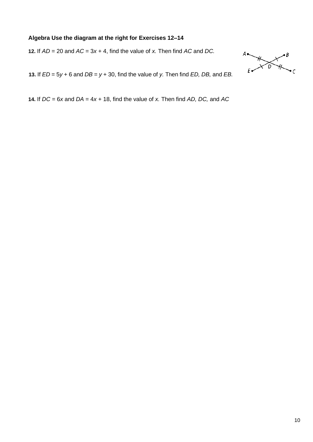#### **Algebra Use the diagram at the right for Exercises 12–14**

**12.** If *AD* = 20 and *AC* = 3*x* + 4, find the value of *x.* Then find *AC* and *DC.*



**13.** If *ED* = 5*y* + 6 and *DB* = *y* + 30, find the value of *y.* Then find *ED, DB,* and *EB.*

**14.** If *DC* = 6*x* and *DA* = 4*x* + 18, find the value of *x.* Then find *AD, DC,* and *AC*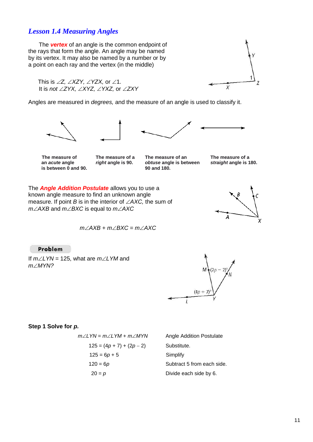## *Lesson 1.4 Measuring Angles*

The *vertex* of an angle is the common endpoint of the rays that form the angle. An angle may be named by its vertex. It may also be named by a number or by a point on each ray and the vertex (in the middle)

This is  $\angle Z$ ,  $\angle$ XZY,  $\angle$ YZX, or  $\angle$ 1. It is *not ZYX, XYZ, YXZ,* or *ZXY*

Angles are measured in *degrees,* and the measure of an angle is used to classify it.





**is between 0 and 90. 90 and 180.**

**The measure of The measure of a The measure of an The measure of a The measure of a The measure of a The measure of a The measure of a The measure of a The measure of a The measure of a The measure o an** *acute* **angle** *right* **angle is 90.** *obtuse* **angle is between** *straight* **angle is 180.**

X

Z

The *Angle Addition Postulate* allows you to use a known angle measure to find an unknown angle measure. If point  $B$  is in the interior of  $\angle$ AXC, the sum of *m*∠*AXB* and *m*∠*BXC* is equal to *m*∠*AXC* 



 $m\angle AXB + m\angle BXC = m\angle AXC$ 

Problem

If *mLYN* = 125, what are *mLYM* and *m∠MYN?* 



#### **Step 1 Solve for** *p.*

$$
m\angle LYN = m\angle LYM + m\angle MYN
$$
  

$$
125 = (4p + 7) + (2p - 2)
$$
  

$$
125 = 6p + 5
$$
  

$$
120 = 6p
$$
  

$$
20 = p
$$

**Angle Addition Postulate**  $Substitute.$ Simplify Subtract 5 from each side. Divide each side by 6.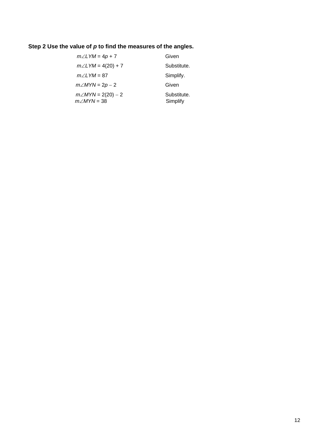## **Step 2 Use the value of** *p* **to find the measures of the angles.**

| $m\angle LYM = 4p + 7$                          | Given                   |
|-------------------------------------------------|-------------------------|
| $m\angle LYM = 4(20) + 7$                       | Substitute.             |
| $m\angle$ LYM = 87                              | Simplify.               |
| $m\angle MYN = 2p - 2$                          | Given                   |
| $m\angle MYN = 2(20) - 2$<br>$m\angle MYN = 38$ | Substitute.<br>Simplify |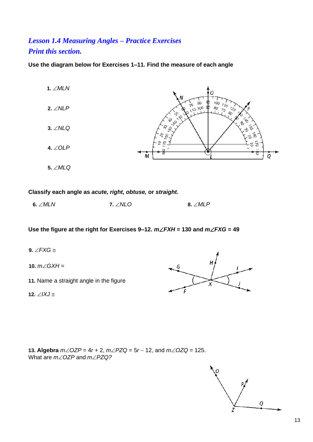## *Lesson 1.4 Measuring Angles – Practice Exercises Print this section.*

**Use the diagram below for Exercises 1–11. Find the measure of each angle**



#### **Classify each angle as** *acute, right, obtuse,* **or** *straight.*

 **6.** *MLN* **7.** *NLO* **8.** *MLP*

**Use the figure at the right for Exercises 9–12.** *mFXH* **= 130 and** *mFXG* **= 49**

**9.**  $\angle$ *FXG*  $\cong$ 

10.  $m\angle G X H =$ 

**11.** Name a straight angle in the figure

**12.**  $\angle$ *IXJ*  $\cong$ 



**13. Algebra** *mOZP* = 4*r* + 2, *mPZQ* = 5*r* − 12, and *mOZQ* = 125. What are  $m\angle$  OZP and  $m\angle$  PZQ?

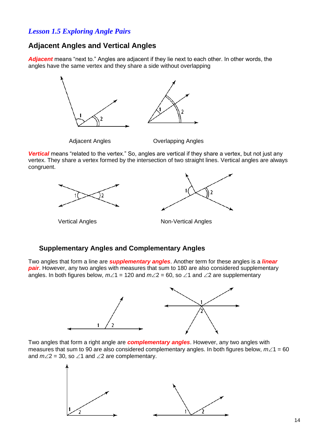## *Lesson 1.5 Exploring Angle Pairs*

## **Adjacent Angles and Vertical Angles**

*Adjacent* means "next to." Angles are adjacent if they lie next to each other. In other words, the angles have the same vertex and they share a side without overlapping



*Vertical* means "related to the vertex." So, angles are vertical if they share a vertex, but not just any vertex. They share a vertex formed by the intersection of two straight lines. Vertical angles are always congruent.





Vertical AnglesNon-Vertical Angles

#### **Supplementary Angles and Complementary Angles**

Two angles that form a line are *supplementary angles*. Another term for these angles is a *linear pair*. However, any two angles with measures that sum to 180 are also considered supplementary angles. In both figures below,  $m\angle 1 = 120$  and  $m\angle 2 = 60$ , so  $\angle 1$  and  $\angle 2$  are supplementary



Two angles that form a right angle are *complementary angles*. However, any two angles with measures that sum to 90 are also considered complementary angles. In both figures below,  $m\angle 1 = 60$ and  $m\angle 2 = 30$ , so  $\angle 1$  and  $\angle 2$  are complementary.

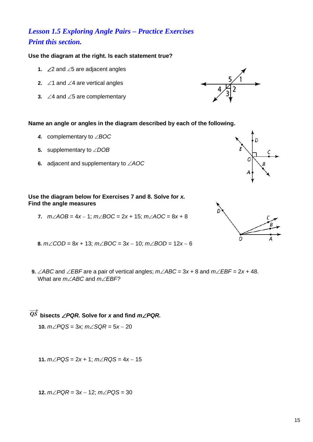## *Lesson 1.5 Exploring Angle Pairs – Practice Exercises Print this section.*

#### **Use the diagram at the right. Is each statement true?**

- **1.**  $\angle 2$  and  $\angle 5$  are adjacent angles
- **2.**  $\angle$ 1 and  $\angle$ 4 are vertical angles
- **3.**  $\angle$ 4 and  $\angle$ 5 are complementary



**Name an angle or angles in the diagram described by each of the following.**

- **4.** complementary to ∠BOC
- **5.** supplementary to  $\angle DOB$
- **6.** adjacent and supplementary to *AOC*



**7.** *mAOB* = 4*x* − 1; *mBOC* = 2*x* + 15; *mAOC* = 8*x* + 8



- **8.**  $m∠COD = 8x + 13$ ;  $m∠BOC = 3x − 10$ ;  $m∠BOD = 12x − 6$
- **9.**  $\angle ABC$  and  $\angle EBF$  are a pair of vertical angles;  $m\angle ABC = 3x + 8$  and  $m\angle EBF = 2x + 48$ . What are *mABC* and *mEBF?*

 $\overrightarrow{QS}$  bisects  $\angle$  *PQR.* Solve for *x* and find *m* $\angle$  *PQR.* 

**10.**  $m∠PQS = 3x$ ;  $m∠SQR = 5x - 20$ 

**11.**  $m∠PQS = 2x + 1$ ;  $m∠RQS = 4x - 15$ 

**12.** *mPQR* = 3*x* − 12; *mPQS* = 30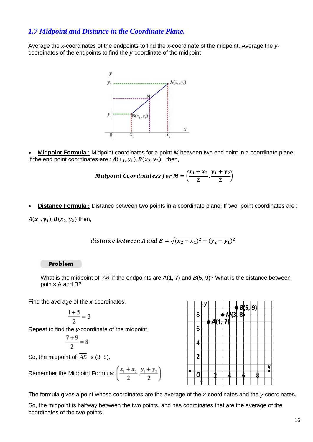## *1.7 Midpoint and Distance in the Coordinate Plane.*

Average the *x*-coordinates of the endpoints to find the *x*-coordinate of the midpoint. Average the *y*coordinates of the endpoints to find the *y*-coordinate of the midpoint



• **Midpoint Formula :** Midpoint coordinates for a point *M* between two end point in a coordinate plane. If the end point coordinates are :  $A(x_1, y_1)$ ,  $B(x_2, y_2)$  then,

Midpoint Coordinates for 
$$
M = \left(\frac{x_1 + x_2}{2}, \frac{y_1 + y_2}{2}\right)
$$

• **Distance Formula :** Distance between two points in a coordinate plane. If two point coordinates are :

 $A(x_1, y_1)$ ,  $B(x_2, y_2)$  then,

distance between A and B = 
$$
\sqrt{(x_2 - x_1)^2 + (y_2 - y_1)^2}
$$

#### Problem

What is the midpoint of  $AB$  if the endpoints are  $A(1, 7)$  and  $B(5, 9)$ ? What is the distance between points A and B?

Find the average of the *x*-coordinates.

$$
\frac{1+5}{2} = 3
$$

Repeat to find the *y*-coordinate of the midpoint.

$$
\frac{7+9}{2}=8
$$

So, the midpoint of  $AB$  is  $(3, 8)$ .

Remember the Midpoint Formula: 
$$
\left(\frac{x_1 + x_2}{2}, \frac{y_1 + y_2}{2}\right)
$$



The formula gives a point whose coordinates are the average of the *x*-coordinates and the *y*-coordinates.

So, the midpoint is halfway between the two points, and has coordinates that are the average of the coordinates of the two points.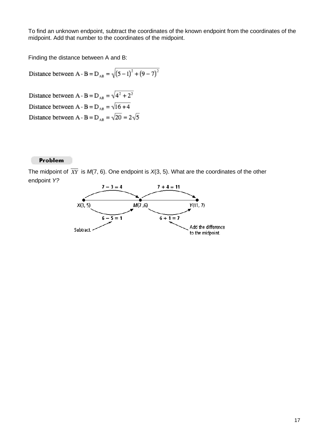To find an unknown endpoint, subtract the coordinates of the known endpoint from the coordinates of the midpoint. Add that number to the coordinates of the midpoint.

Finding the distance between A and B:

Distance between A - B = D<sub>AB</sub> =  $\sqrt{(5-1)^2 + (9-7)^2}$ 

Distance between A - B =  $D_{AB} = \sqrt{4^2 + 2^2}$ Distance between A - B =  $D_{AB} = \sqrt{16 + 4}$ Distance between A - B =  $D_{AB} = \sqrt{20} = 2\sqrt{5}$ 

#### Problem

The midpoint of XY is M(7, 6). One endpoint is X(3, 5). What are the coordinates of the other endpoint *Y?*

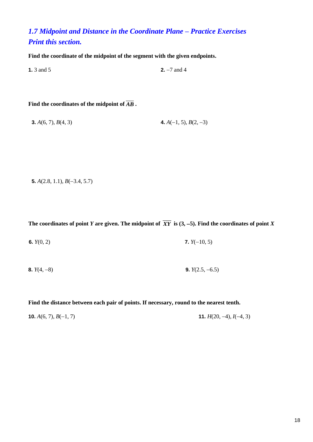## *1.7 Midpoint and Distance in the Coordinate Plane – Practice Exercises Print this section.*

**Find the coordinate of the midpoint of the segment with the given endpoints.**

**1.** 3 and 5 **2.** −7 and 4

#### **Find the coordinates of the midpoint of** *AB* **.**

**3.**  $A(6, 7), B(4, 3)$  **4.**  $A(-1, 5), B(2, -3)$ 

**5.** *A*(2.8, 1.1), *B*(−3.4, 5.7)

The coordinates of point *Y* are given. The midpoint of  $XY$  is  $(3, -5)$ . Find the coordinates of point *X* 

**6.** *Y*(0, 2) **7.** *Y*(−10, 5)

**8.** *Y*(4, −8) **9.** *Y*(2.5, −6.5)

**Find the distance between each pair of points. If necessary, round to the nearest tenth.**

**10.**  $A(6, 7), B(-1, 7)$  **11.**  $H(20, -4), I(-4, 3)$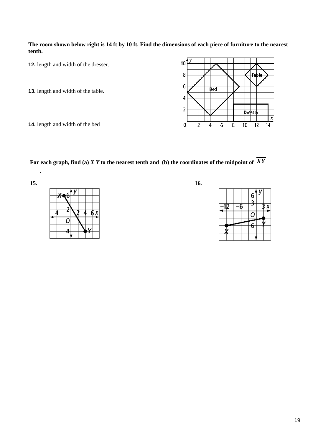**The room shown below right is 14 ft by 10 ft. Find the dimensions of each piece of furniture to the nearest tenth.**

**12.** length and width of the dresser.

**13.** length and width of the table.

**14.** length and width of the bed

For each graph, find (a)  $XY$  to the nearest tenth and  $\,$  (b) the coordinates of the midpoint of  $\,XY$ 



**.**





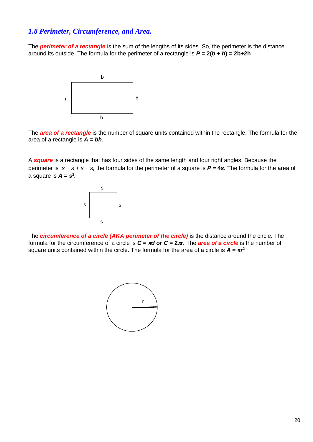#### *1.8 Perimeter, Circumference, and Area.*

The *perimeter of a rectangle* is the sum of the lengths of its sides. So, the perimeter is the distance around its outside. The formula for the perimeter of a rectangle is *P* **= 2(***b* **+** *h***) = 2b+2h**



The *area of a rectangle* is the number of square units contained within the rectangle. The formula for the area of a rectangle is *A* **=** *bh.*

A *square* is a rectangle that has four sides of the same length and four right angles. Because the perimeter is *s* + *s* + *s* + *s,* the formula for the perimeter of a square is *P* **= 4***s.* The formula for the area of a square is  $A = s^2$ .



The *circumference of a circle (AKA perimeter of the circle)* is the distance around the circle. The formula for the circumference of a circle is  $C = \pi d$  or  $C = 2\pi r$ . The **area of a circle** is the number of square units contained within the circle. The formula for the area of a circle is  $A = \pi r^2$ 

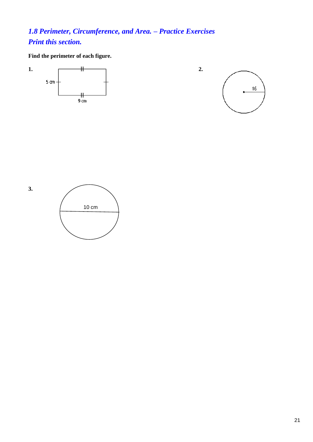## *1.8 Perimeter, Circumference, and Area. – Practice Exercises Print this section.*

**Find the perimeter of each figure.**



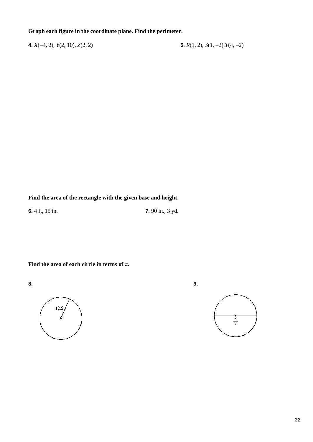#### **Graph each figure in the coordinate plane. Find the perimeter.**

**4.** *X*(−4, 2), *Y*(2, 10), *Z*(2, 2) **5.** *R*(1, 2), *S*(1, −2),*T*(4, −2)

**Find the area of the rectangle with the given base and height.**

**6.** 4 ft, 15 in. **7.** 90 in., 3 yd.

**Find the area of each circle in terms of** *π.*



**8. 9.**